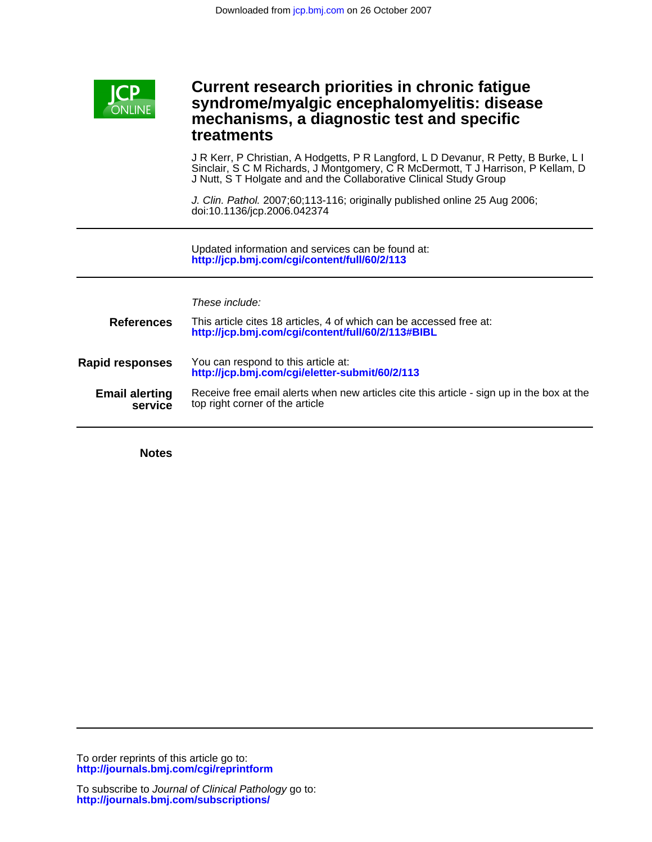

# **treatments mechanisms, a diagnostic test and specific syndrome/myalgic encephalomyelitis: disease Current research priorities in chronic fatigue**

J Nutt, S T Holgate and and the Collaborative Clinical Study Group Sinclair, S C M Richards, J Montgomery, C R McDermott, T J Harrison, P Kellam, D J R Kerr, P Christian, A Hodgetts, P R Langford, L D Devanur, R Petty, B Burke, L I

doi:10.1136/jcp.2006.042374 J. Clin. Pathol. 2007;60;113-116; originally published online 25 Aug 2006;

**<http://jcp.bmj.com/cgi/content/full/60/2/113>** Updated information and services can be found at:

These include:

| <b>References</b>                | This article cites 18 articles, 4 of which can be accessed free at:<br>http://jcp.bmj.com/cgi/content/full/60/2/113#BIBL     |
|----------------------------------|------------------------------------------------------------------------------------------------------------------------------|
| <b>Rapid responses</b>           | You can respond to this article at:<br>http://jcp.bmj.com/cgi/eletter-submit/60/2/113                                        |
| <b>Email alerting</b><br>service | Receive free email alerts when new articles cite this article - sign up in the box at the<br>top right corner of the article |

**Notes**

**<http://journals.bmj.com/cgi/reprintform>** To order reprints of this article go to: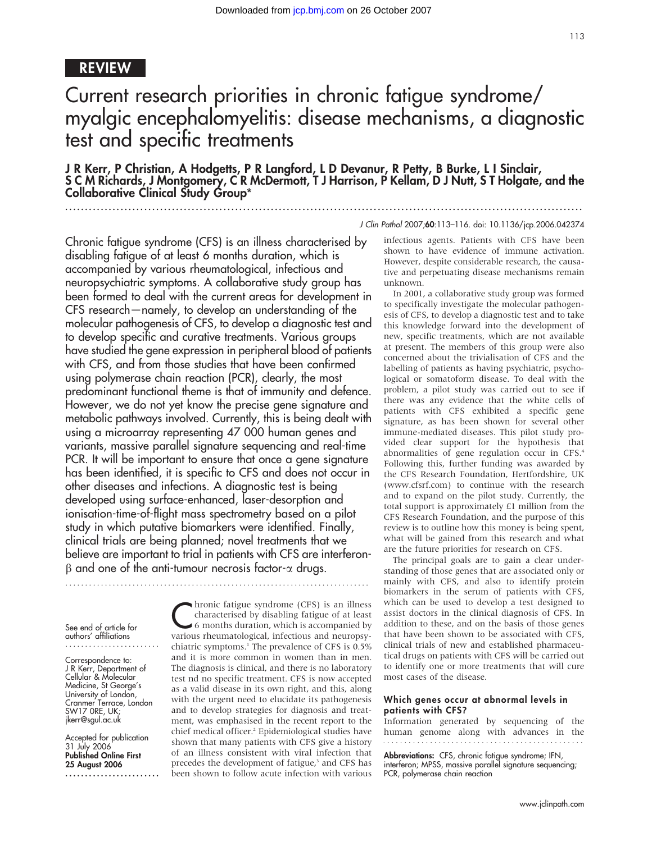# REVIEW

# Current research priorities in chronic fatigue syndrome/ myalgic encephalomyelitis: disease mechanisms, a diagnostic test and specific treatments

J R Kerr, P Christian, A Hodgetts, P R Langford, L D Devanur, R Petty, B Burke, L I Sinclair, S C M Richards, J Montgomery, C R McDermott, T J Harrison, P Kellam, D J Nutt, S T Holgate, and the Collaborative Clinical Study Group\*

............................................................... ............................................................... .....

#### J Clin Pathol 2007;60:113–116. doi: 10.1136/jcp.2006.042374

Chronic fatigue syndrome (CFS) is an illness characterised by disabling fatigue of at least 6 months duration, which is accompanied by various rheumatological, infectious and neuropsychiatric symptoms. A collaborative study group has been formed to deal with the current areas for development in CFS research—namely, to develop an understanding of the molecular pathogenesis of CFS, to develop a diagnostic test and to develop specific and curative treatments. Various groups have studied the gene expression in peripheral blood of patients with CFS, and from those studies that have been confirmed using polymerase chain reaction (PCR), clearly, the most predominant functional theme is that of immunity and defence. However, we do not yet know the precise gene signature and metabolic pathways involved. Currently, this is being dealt with using a microarray representing 47 000 human genes and variants, massive parallel signature sequencing and real-time PCR. It will be important to ensure that once a gene signature has been identified, it is specific to CFS and does not occur in other diseases and infections. A diagnostic test is being developed using surface-enhanced, laser-desorption and ionisation-time-of-flight mass spectrometry based on a pilot study in which putative biomarkers were identified. Finally, clinical trials are being planned; novel treatments that we believe are important to trial in patients with CFS are interferon- $\beta$  and one of the anti-tumour necrosis factor- $\alpha$  drugs.

............................................................... ..............

See end of article for authors' affiliations ........................

Correspondence to: J R Kerr, Department of Cellular & Molecular Medicine, St George's University of London, Cranmer Terrace, London SW17 0RE, UK; jkerr@sgul.ac.uk

Accepted for publication 31 July 2006 Published Online First 25 August 2006 ........................

hronic fatigue syndrome (CFS) is an illness<br>characterised by disabling fatigue of at least<br>6 months duration, which is accompanied by<br>writing the memorial infectious and neuronsy characterised by disabling fatigue of at least various rheumatological, infectious and neuropsychiatric symptoms.<sup>1</sup> The prevalence of CFS is 0.5% and it is more common in women than in men. The diagnosis is clinical, and there is no laboratory test nd no specific treatment. CFS is now accepted as a valid disease in its own right, and this, along with the urgent need to elucidate its pathogenesis and to develop strategies for diagnosis and treatment, was emphasised in the recent report to the chief medical officer.<sup>2</sup> Epidemiological studies have shown that many patients with CFS give a history of an illness consistent with viral infection that precedes the development of fatigue,<sup>3</sup> and CFS has been shown to follow acute infection with various

infectious agents. Patients with CFS have been shown to have evidence of immune activation. However, despite considerable research, the causative and perpetuating disease mechanisms remain unknown.

In 2001, a collaborative study group was formed to specifically investigate the molecular pathogenesis of CFS, to develop a diagnostic test and to take this knowledge forward into the development of new, specific treatments, which are not available at present. The members of this group were also concerned about the trivialisation of CFS and the labelling of patients as having psychiatric, psychological or somatoform disease. To deal with the problem, a pilot study was carried out to see if there was any evidence that the white cells of patients with CFS exhibited a specific gene signature, as has been shown for several other immune-mediated diseases. This pilot study provided clear support for the hypothesis that abnormalities of gene regulation occur in CFS.4 Following this, further funding was awarded by the CFS Research Foundation, Hertfordshire, UK (www.cfsrf.com) to continue with the research and to expand on the pilot study. Currently, the total support is approximately £1 million from the CFS Research Foundation, and the purpose of this review is to outline how this money is being spent, what will be gained from this research and what are the future priorities for research on CFS.

The principal goals are to gain a clear understanding of those genes that are associated only or mainly with CFS, and also to identify protein biomarkers in the serum of patients with CFS, which can be used to develop a test designed to assist doctors in the clinical diagnosis of CFS. In addition to these, and on the basis of those genes that have been shown to be associated with CFS, clinical trials of new and established pharmaceutical drugs on patients with CFS will be carried out to identify one or more treatments that will cure most cases of the disease.

### Which genes occur at abnormal levels in patients with CFS?

Information generated by sequencing of the human genome along with advances in the

Abbreviations: CFS, chronic fatigue syndrome; IFN, interferon; MPSS, massive parallel signature sequencing; PCR, polymerase chain reaction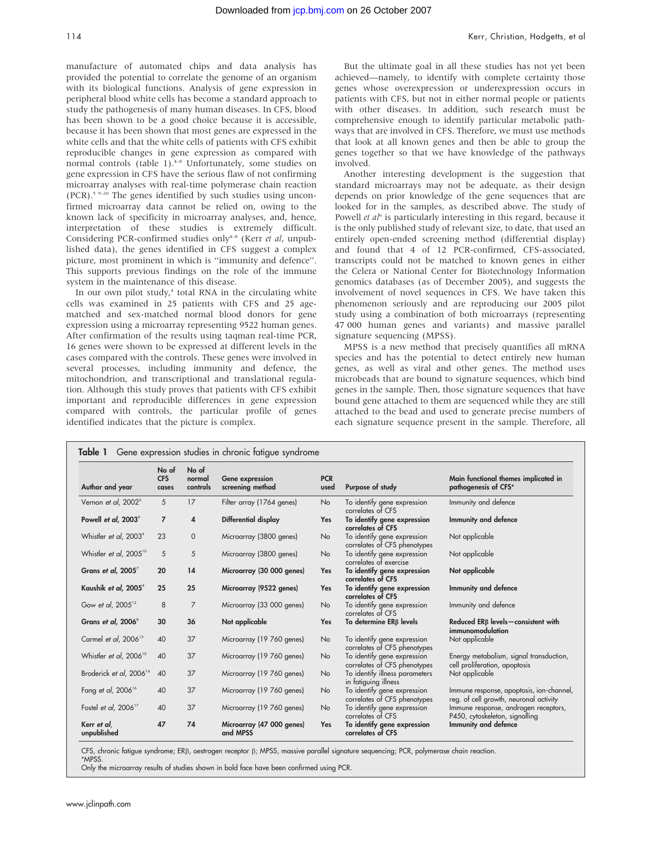manufacture of automated chips and data analysis has provided the potential to correlate the genome of an organism with its biological functions. Analysis of gene expression in peripheral blood white cells has become a standard approach to study the pathogenesis of many human diseases. In CFS, blood has been shown to be a good choice because it is accessible, because it has been shown that most genes are expressed in the white cells and that the white cells of patients with CFS exhibit reproducible changes in gene expression as compared with normal controls (table 1).<sup>4-8</sup> Unfortunately, some studies on gene expression in CFS have the serious flaw of not confirming microarray analyses with real-time polymerase chain reaction (PCR).5 9–20 The genes identified by such studies using unconfirmed microarray data cannot be relied on, owing to the known lack of specificity in microarray analyses, and, hence, interpretation of these studies is extremely difficult. Considering PCR-confirmed studies only<sup>4-8</sup> (Kerr et al, unpublished data), the genes identified in CFS suggest a complex picture, most prominent in which is ''immunity and defence''. This supports previous findings on the role of the immune system in the maintenance of this disease.

In our own pilot study,<sup>4</sup> total RNA in the circulating white cells was examined in 25 patients with CFS and 25 agematched and sex-matched normal blood donors for gene expression using a microarray representing 9522 human genes. After confirmation of the results using taqman real-time PCR, 16 genes were shown to be expressed at different levels in the cases compared with the controls. These genes were involved in several processes, including immunity and defence, the mitochondrion, and transcriptional and translational regulation. Although this study proves that patients with CFS exhibit important and reproducible differences in gene expression compared with controls, the particular profile of genes identified indicates that the picture is complex.

But the ultimate goal in all these studies has not yet been achieved—namely, to identify with complete certainty those genes whose overexpression or underexpression occurs in patients with CFS, but not in either normal people or patients with other diseases. In addition, such research must be comprehensive enough to identify particular metabolic pathways that are involved in CFS. Therefore, we must use methods that look at all known genes and then be able to group the genes together so that we have knowledge of the pathways involved.

Another interesting development is the suggestion that standard microarrays may not be adequate, as their design depends on prior knowledge of the gene sequences that are looked for in the samples, as described above. The study of Powell et  $a^{16}$  is particularly interesting in this regard, because it is the only published study of relevant size, to date, that used an entirely open-ended screening method (differential display) and found that 4 of 12 PCR-confirmed, CFS-associated, transcripts could not be matched to known genes in either the Celera or National Center for Biotechnology Information genomics databases (as of December 2005), and suggests the involvement of novel sequences in CFS. We have taken this phenomenon seriously and are reproducing our 2005 pilot study using a combination of both microarrays (representing 47 000 human genes and variants) and massive parallel signature sequencing (MPSS).

MPSS is a new method that precisely quantifies all mRNA species and has the potential to detect entirely new human genes, as well as viral and other genes. The method uses microbeads that are bound to signature sequences, which bind genes in the sample. Then, those signature sequences that have bound gene attached to them are sequenced while they are still attached to the bead and used to generate precise numbers of each signature sequence present in the sample. Therefore, all

| Author and year                     | No of<br><b>CFS</b><br>cases | No of<br>normal<br>controls | Gene expression<br>screening method   | <b>PCR</b><br>used | Purpose of study                                            | Main functional themes implicated in<br>pathogenesis of CFS*                       |
|-------------------------------------|------------------------------|-----------------------------|---------------------------------------|--------------------|-------------------------------------------------------------|------------------------------------------------------------------------------------|
| Vernon et al, 2002 <sup>5</sup>     | 5                            | 17                          | Filter array (1764 genes)             | <b>No</b>          | To identify gene expression<br>correlates of CFS            | Immunity and defence                                                               |
| Powell et al, 2003 <sup>6</sup>     | $\overline{7}$               | 4                           | Differential display                  | Yes                | To identify gene expression<br>correlates of CFS            | Immunity and defence                                                               |
| Whistler et al, 2003 <sup>°</sup>   | 23                           | $\mathbf{O}$                | Microarray (3800 genes)               | <b>No</b>          | To identify gene expression<br>correlates of CFS phenotypes | Not applicable                                                                     |
| Whistler et al, 2005 <sup>10</sup>  | 5                            | 5                           | Microarray (3800 genes)               | <b>No</b>          | To identify gene expression<br>correlates of exercise       | Not applicable                                                                     |
| Grans et al, $2005^7$               | 20                           | 14                          | Microarray (30 000 genes)             | Yes                | To identify gene expression<br>correlates of CFS            | Not applicable                                                                     |
| Kaushik et al, 2005 <sup>4</sup>    | 25                           | 25                          | Microarray (9522 genes)               | Yes                | To identify gene expression<br>correlates of CFS            | Immunity and defence                                                               |
| Gow et al, 2005 <sup>12</sup>       | 8                            | $\overline{7}$              | Microarray (33 000 genes)             | <b>No</b>          | To identify gene expression<br>correlates of CFS            | Immunity and defence                                                               |
| Grans et al, 2006 <sup>8</sup>      | 30                           | 36                          | Not applicable                        | Yes                | To determine ER <sub>B</sub> levels                         | Reduced ER <sub>B</sub> levels-consistent with<br>immunomodulation                 |
| Carmel et al, 2006 <sup>13</sup>    | 40                           | 37                          | Microarray (19 760 genes)             | <b>No</b>          | To identify gene expression<br>correlates of CFS phenotypes | Not applicable                                                                     |
| Whistler et al, 2006 <sup>10</sup>  | 40                           | 37                          | Microarray (19 760 genes)             | <b>No</b>          | To identify gene expression<br>correlates of CFS phenotypes | Energy metabolism, signal transduction,<br>cell proliferation, apoptosis           |
| Broderick et al, 2006 <sup>14</sup> | 40                           | 37                          | Microarray (19 760 genes)             | <b>No</b>          | To identify illness parameters<br>in fatiguing illness      | Not applicable                                                                     |
| Fang et al, $2006^{16}$             | 40                           | 37                          | Microarray (19 760 genes)             | <b>No</b>          | To identify gene expression<br>correlates of CFS phenotypes | Immune response, apoptosis, ion-channel,<br>reg. of cell growth, neuronal activity |
| Fostel et al, 2006 <sup>17</sup>    | 40                           | 37                          | Microarray (19 760 genes)             | <b>No</b>          | To identify gene expression<br>correlates of CFS            | Immune response, androgen receptors,<br>P450, cytoskeleton, signalling             |
| Kerr et al,<br>unpublished          | 47                           | 74                          | Microarray (47 000 genes)<br>and MPSS | Yes                | To identify gene expression<br>correlates of CFS            | Immunity and defence                                                               |

CFS, chronic fatigue syndrome; ER $\beta$ , oestrogen receptor  $\beta$ ; MPSS, massive parallel signature sequencing; PCR, polymerase chain reaction. \*MPSS.

Only the microarray results of studies shown in bold face have been confirmed using PCR.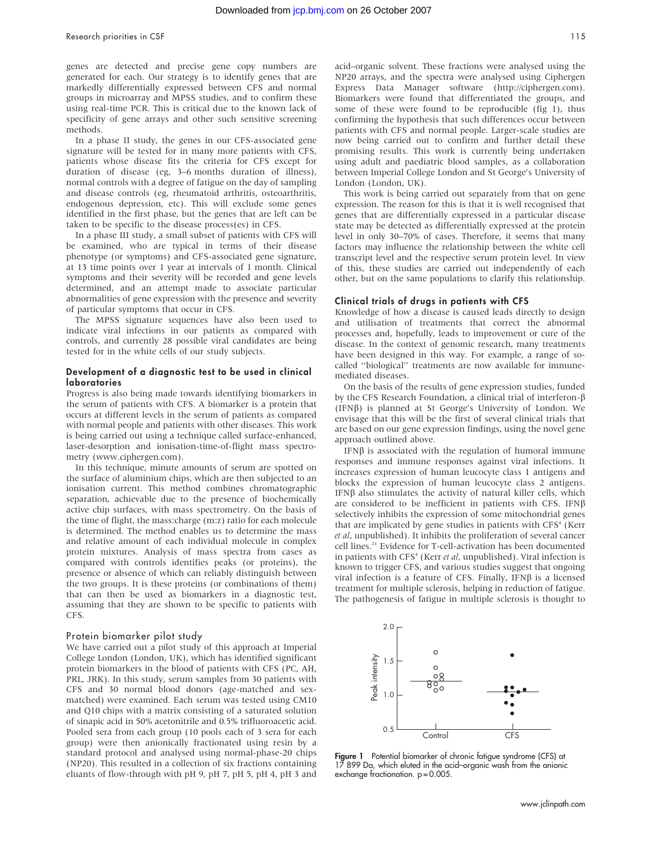genes are detected and precise gene copy numbers are generated for each. Our strategy is to identify genes that are markedly differentially expressed between CFS and normal groups in microarray and MPSS studies, and to confirm these using real-time PCR. This is critical due to the known lack of specificity of gene arrays and other such sensitive screening methods.

In a phase II study, the genes in our CFS-associated gene signature will be tested for in many more patients with CFS, patients whose disease fits the criteria for CFS except for duration of disease (eg, 3–6 months duration of illness), normal controls with a degree of fatigue on the day of sampling and disease controls (eg, rheumatoid arthritis, osteoarthritis, endogenous depression, etc). This will exclude some genes identified in the first phase, but the genes that are left can be taken to be specific to the disease process(es) in CFS.

In a phase III study, a small subset of patients with CFS will be examined, who are typical in terms of their disease phenotype (or symptoms) and CFS-associated gene signature, at 13 time points over 1 year at intervals of 1 month. Clinical symptoms and their severity will be recorded and gene levels determined, and an attempt made to associate particular abnormalities of gene expression with the presence and severity of particular symptoms that occur in CFS.

The MPSS signature sequences have also been used to indicate viral infections in our patients as compared with controls, and currently 28 possible viral candidates are being tested for in the white cells of our study subjects.

## Development of a diagnostic test to be used in clinical laboratories

Progress is also being made towards identifying biomarkers in the serum of patients with CFS. A biomarker is a protein that occurs at different levels in the serum of patients as compared with normal people and patients with other diseases. This work is being carried out using a technique called surface-enhanced, laser-desorption and ionisation-time-of-flight mass spectrometry (www.ciphergen.com).

In this technique, minute amounts of serum are spotted on the surface of aluminium chips, which are then subjected to an ionisation current. This method combines chromatographic separation, achievable due to the presence of biochemically active chip surfaces, with mass spectrometry. On the basis of the time of flight, the mass:charge (m:z) ratio for each molecule is determined. The method enables us to determine the mass and relative amount of each individual molecule in complex protein mixtures. Analysis of mass spectra from cases as compared with controls identifies peaks (or proteins), the presence or absence of which can reliably distinguish between the two groups. It is these proteins (or combinations of them) that can then be used as biomarkers in a diagnostic test, assuming that they are shown to be specific to patients with CFS.

## Protein biomarker pilot study

We have carried out a pilot study of this approach at Imperial College London (London, UK), which has identified significant protein biomarkers in the blood of patients with CFS (PC, AH, PRL, JRK). In this study, serum samples from 30 patients with CFS and 30 normal blood donors (age-matched and sexmatched) were examined. Each serum was tested using CM10 and Q10 chips with a matrix consisting of a saturated solution of sinapic acid in 50% acetonitrile and 0.5% trifluoroacetic acid. Pooled sera from each group (10 pools each of 3 sera for each group) were then anionically fractionated using resin by a standard protocol and analysed using normal-phase-20 chips (NP20). This resulted in a collection of six fractions containing eluants of flow-through with pH 9, pH 7, pH 5, pH 4, pH 3 and

acid–organic solvent. These fractions were analysed using the NP20 arrays, and the spectra were analysed using Ciphergen Express Data Manager software (http://ciphergen.com). Biomarkers were found that differentiated the groups, and some of these were found to be reproducible (fig 1), thus confirming the hypothesis that such differences occur between patients with CFS and normal people. Larger-scale studies are now being carried out to confirm and further detail these promising results. This work is currently being undertaken using adult and paediatric blood samples, as a collaboration between Imperial College London and St George's University of London (London, UK).

This work is being carried out separately from that on gene expression. The reason for this is that it is well recognised that genes that are differentially expressed in a particular disease state may be detected as differentially expressed at the protein level in only 30–70% of cases. Therefore, it seems that many factors may influence the relationship between the white cell transcript level and the respective serum protein level. In view of this, these studies are carried out independently of each other, but on the same populations to clarify this relationship.

# Clinical trials of drugs in patients with CFS

Knowledge of how a disease is caused leads directly to design and utilisation of treatments that correct the abnormal processes and, hopefully, leads to improvement or cure of the disease. In the context of genomic research, many treatments have been designed in this way. For example, a range of socalled ''biological'' treatments are now available for immunemediated diseases.

On the basis of the results of gene expression studies, funded by the CFS Research Foundation, a clinical trial of interferon- $\beta$  $(IFN\beta)$  is planned at St George's University of London. We envisage that this will be the first of several clinical trials that are based on our gene expression findings, using the novel gene approach outlined above.

IFN $\beta$  is associated with the regulation of humoral immune responses and immune responses against viral infections. It increases expression of human leucocyte class 1 antigens and blocks the expression of human leucocyte class 2 antigens. IFN $\beta$  also stimulates the activity of natural killer cells, which are considered to be inefficient in patients with CFS. IFN $\beta$ selectively inhibits the expression of some mitochondrial genes that are implicated by gene studies in patients with  $CFS<sup>4</sup>$  (Kerr et al, unpublished). It inhibits the proliferation of several cancer cell lines.21 Evidence for T-cell-activation has been documented in patients with CFS<sup>4</sup> (Kerr et al, unpublished). Viral infection is known to trigger CFS, and various studies suggest that ongoing viral infection is a feature of CFS. Finally, IFN $\beta$  is a licensed treatment for multiple sclerosis, helping in reduction of fatigue. The pathogenesis of fatigue in multiple sclerosis is thought to



Figure 1 Potential biomarker of chronic fatigue syndrome (CFS) at 17 899 Da, which eluted in the acid–organic wash from the anionic exchange fractionation.  $p = 0.005$ .